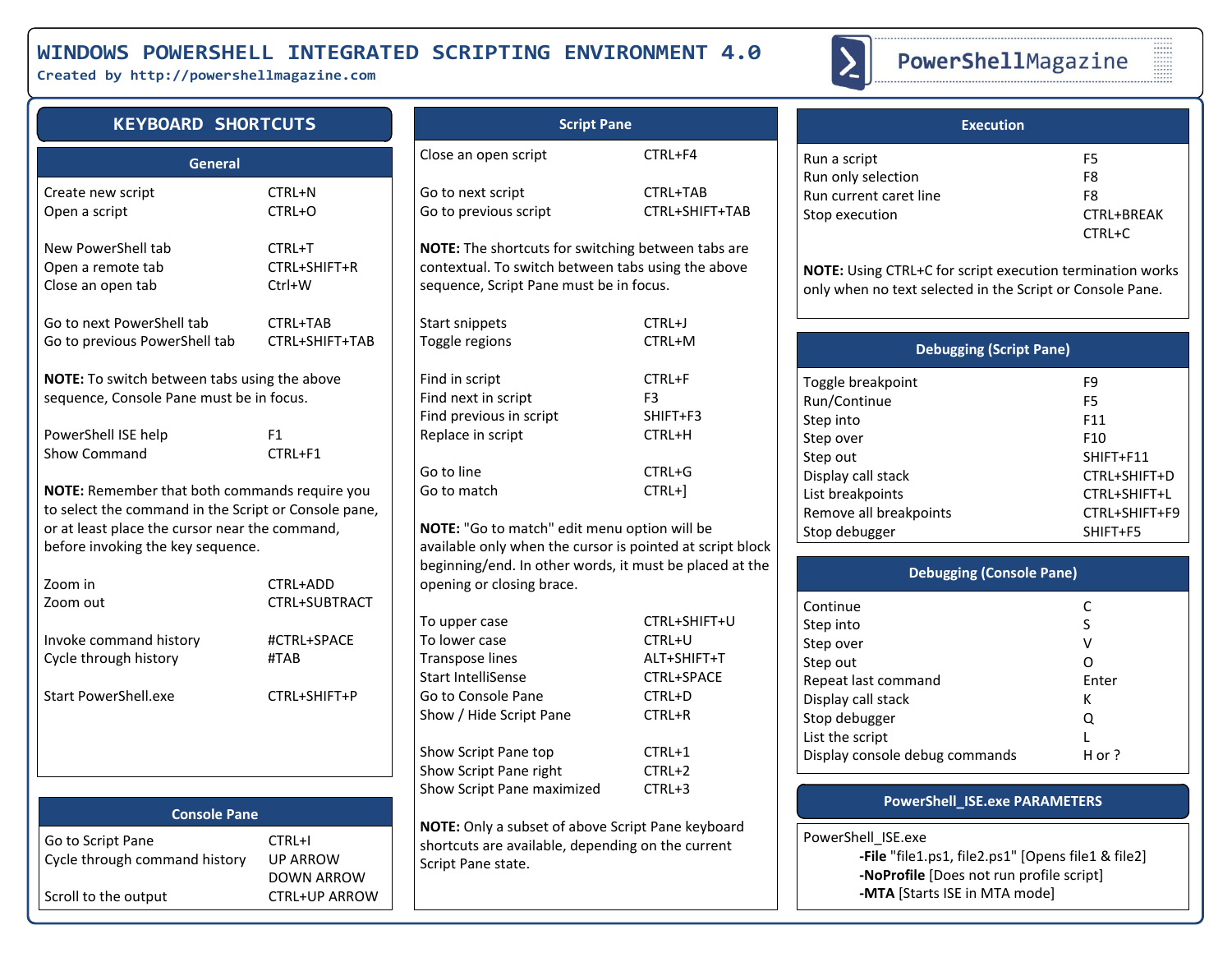## **WINDOWS POWERSHELL INTEGRATED SCRIPTING ENVIRONMENT 4.0**

**Created by http://powershellmagazine.com**



# PowerShellMagazine

## **KEYBOARD SHORTCUTS**

| General                                                                                                                                                                                      |                      |  |  |  |
|----------------------------------------------------------------------------------------------------------------------------------------------------------------------------------------------|----------------------|--|--|--|
| Create new script                                                                                                                                                                            | CTRL+N               |  |  |  |
| Open a script                                                                                                                                                                                | CTRL+O               |  |  |  |
| New PowerShell tab                                                                                                                                                                           | CTRL+T               |  |  |  |
| Open a remote tab                                                                                                                                                                            | CTRL+SHIFT+R         |  |  |  |
| Close an open tab                                                                                                                                                                            | $Ctrl+W$             |  |  |  |
| Go to next PowerShell tab                                                                                                                                                                    | CTRL+TAB             |  |  |  |
| Go to previous PowerShell tab                                                                                                                                                                | CTRL+SHIFT+TAB       |  |  |  |
| <b>NOTE:</b> To switch between tabs using the above<br>sequence, Console Pane must be in focus.                                                                                              |                      |  |  |  |
| PowerShell ISE help                                                                                                                                                                          | F1                   |  |  |  |
| Show Command                                                                                                                                                                                 | CTRL+F1              |  |  |  |
| NOTE: Remember that both commands require you<br>to select the command in the Script or Console pane,<br>or at least place the cursor near the command,<br>before invoking the key sequence. |                      |  |  |  |
| Zoom in                                                                                                                                                                                      | CTRL+ADD             |  |  |  |
| Zoom out                                                                                                                                                                                     | <b>CTRL+SUBTRACT</b> |  |  |  |
| Invoke command history                                                                                                                                                                       | #CTRL+SPACE          |  |  |  |
| Cycle through history                                                                                                                                                                        | #TAB                 |  |  |  |
| <b>Start PowerShell.exe</b>                                                                                                                                                                  | CTRL+SHIFT+P         |  |  |  |

|                                                    |                                                | $5.10$ $\ldots$ $5.00$ $\ldots$ $5.00$                      |
|----------------------------------------------------|------------------------------------------------|-------------------------------------------------------------|
| <b>Console Pane</b>                                |                                                |                                                             |
| Go to Script Pane<br>Cycle through command history | CTRL+I<br><b>UP ARROW</b><br><b>DOWN ARROW</b> | NOTE: Only a sub<br>shortcuts are ava<br>Script Pane state. |
| Scroll to the output                               | <b>CTRL+UP ARROW</b>                           |                                                             |

# **Script Pane** Close an open script CTRL+F4 Go to next script CTRL+TAB Go to previous script CTRL+SHIFT+TAB **NOTE:** The shortcuts for switching between tabs are contextual. To switch between tabs using the above sequence, Script Pane must be in focus. Start snippets CTRL+J Toggle regions CTRL+M Find in script CTRL+F Find next in script F3 Find previous in script SHIFT+F3 Replace in script CTRL+H Go to line CTRL+G Go to match CTRL+1 **NOTE:** "Go to match" edit menu option will be available only when the cursor is pointed at script block beginning/end. In other words, it must be placed at the opening or closing brace. To upper case CTRL+SHIFT+U To lower case CTRL+U Transpose lines ALT+SHIFT+T Start IntelliSense CTRL+SPACE Go to Console Pane CTRL+D Show / Hide Script Pane CTRL+R Show Script Pane top CTRL+1 Show Script Pane right CTRL+2 Show Script Pane maximized CTRL+3 **NOTE:** Only a subset of above Script Pane keyboard shortcuts are available, depending on the current

| <b>Execution</b>       |            |
|------------------------|------------|
| Run a script           | F5         |
| Run only selection     | F8         |
| Run current caret line | F8         |
| Stop execution         | CTRL+BREAK |
|                        | $CTRI+C$   |

**NOTE:** Using CTRL+C for script execution termination works only when no text selected in the Script or Console Pane.

| <b>Debugging (Script Pane)</b> |                 |  |  |
|--------------------------------|-----------------|--|--|
| Toggle breakpoint              | F9              |  |  |
| Run/Continue                   | F5              |  |  |
| Step into                      | F <sub>11</sub> |  |  |
| Step over                      | F <sub>10</sub> |  |  |
| Step out                       | SHIFT+F11       |  |  |
| Display call stack             | CTRL+SHIFT+D    |  |  |
| List breakpoints               | CTRL+SHIFT+L    |  |  |
| Remove all breakpoints         | CTRL+SHIFT+F9   |  |  |
| Stop debugger                  | SHIFT+F5        |  |  |
|                                |                 |  |  |

| <b>Debugging (Console Pane)</b> |        |  |  |  |
|---------------------------------|--------|--|--|--|
| Continue                        |        |  |  |  |
| Step into                       | S      |  |  |  |
| Step over                       | v      |  |  |  |
| Step out                        |        |  |  |  |
| Repeat last command             | Enter  |  |  |  |
| Display call stack              | к      |  |  |  |
| Stop debugger                   | Q      |  |  |  |
| List the script                 |        |  |  |  |
| Display console debug commands  | H or ? |  |  |  |

### **PowerShell\_ISE.exe PARAMETERS**

PowerShell\_ISE.exe

**-File** "file1.ps1, file2.ps1" [Opens file1 & file2] **-NoProfile** [Does not run profile script] **-MTA** [Starts ISE in MTA mode]